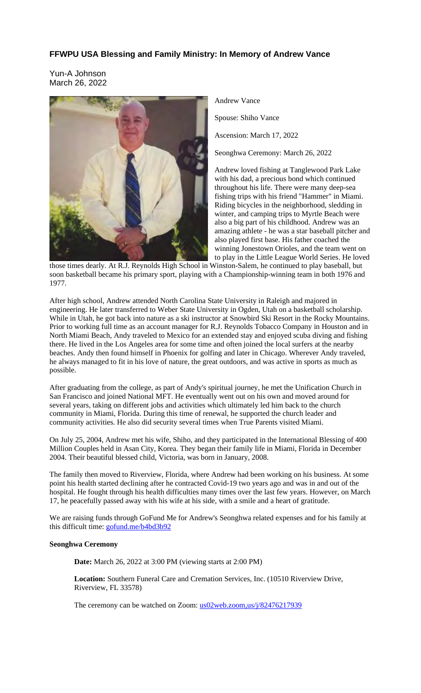# **FFWPU USA Blessing and Family Ministry: In Memory of Andrew Vance**

Yun-A Johnson March 26, 2022



Andrew Vance

Spouse: Shiho Vance

Ascension: March 17, 2022

Seonghwa Ceremony: March 26, 2022

Andrew loved fishing at Tanglewood Park Lake with his dad, a precious bond which continued throughout his life. There were many deep-sea fishing trips with his friend "Hammer" in Miami. Riding bicycles in the neighborhood, sledding in winter, and camping trips to Myrtle Beach were also a big part of his childhood. Andrew was an amazing athlete - he was a star baseball pitcher and also played first base. His father coached the winning Jonestown Orioles, and the team went on to play in the Little League World Series. He loved

those times dearly. At R.J. Reynolds High School in Winston-Salem, he continued to play baseball, but soon basketball became his primary sport, playing with a Championship-winning team in both 1976 and 1977.

After high school, Andrew attended North Carolina State University in Raleigh and majored in engineering. He later transferred to Weber State University in Ogden, Utah on a basketball scholarship. While in Utah, he got back into nature as a ski instructor at Snowbird Ski Resort in the Rocky Mountains. Prior to working full time as an account manager for R.J. Reynolds Tobacco Company in Houston and in North Miami Beach, Andy traveled to Mexico for an extended stay and enjoyed scuba diving and fishing there. He lived in the Los Angeles area for some time and often joined the local surfers at the nearby beaches. Andy then found himself in Phoenix for golfing and later in Chicago. Wherever Andy traveled, he always managed to fit in his love of nature, the great outdoors, and was active in sports as much as possible.

After graduating from the college, as part of Andy's spiritual journey, he met the Unification Church in San Francisco and joined National MFT. He eventually went out on his own and moved around for several years, taking on different jobs and activities which ultimately led him back to the church community in Miami, Florida. During this time of renewal, he supported the church leader and community activities. He also did security several times when True Parents visited Miami.

On July 25, 2004, Andrew met his wife, Shiho, and they participated in the International Blessing of 400 Million Couples held in Asan City, Korea. They began their family life in Miami, Florida in December 2004. Their beautiful blessed child, Victoria, was born in January, 2008.

The family then moved to Riverview, Florida, where Andrew had been working on his business. At some point his health started declining after he contracted Covid-19 two years ago and was in and out of the hospital. He fought through his health difficulties many times over the last few years. However, on March 17, he peacefully passed away with his wife at his side, with a smile and a heart of gratitude.

We are raising funds through GoFund Me for Andrew's Seonghwa related expenses and for his family at this difficult time: gofund.me/b4bd3b92

### **Seonghwa Ceremony**

**Date:** March 26, 2022 at 3:00 PM (viewing starts at 2:00 PM)

**Location:** Southern Funeral Care and Cremation Services, Inc. (10510 Riverview Drive, Riverview, FL 33578)

The ceremony can be watched on Zoom: us02web.zoom,us/j/82476217939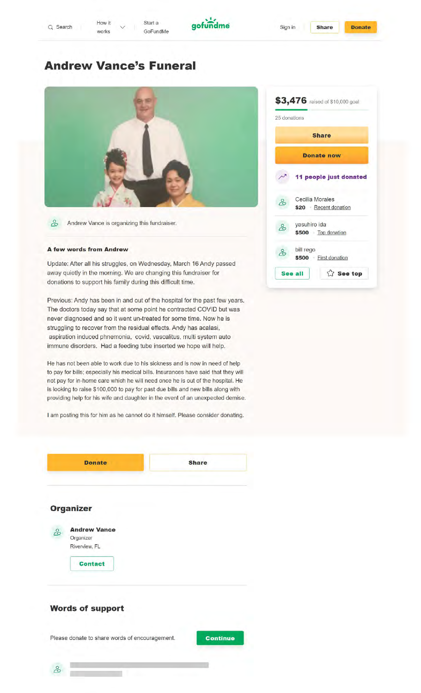

# **Andrew Vance's Funeral**



& Andrew Vance is organizing this fundraiser.

#### **A few words from Andrew**

Update: After all his struggles, on Wednesday, March 16 Andy passed away quietly in the morning. We are changing this fundraiser for donations to support his family during this difficult time.

Previous: Andy has been in and out of the hospital for the past few years. The doctors today say that at some point he contracted COVID but was never diagnosed and so it went un-treated for some time. Now he is struggling to recover from the residual effects. Andy has acalasi, aspiration induced phnemonia, covid, vascalitus, multi system auto immune disorders. Had a feeding tube inserted we hope will help.

He has not been able to work due to his sickness and is now in need of help to pay for bills; especially his medical bills. Insurances have said that they will not pay for in-home care which he will need once he is out of the hospital. He is looking to raise \$100,000 to pay for past due bills and new bills along with providing help for his wife and daughter in the event of an unexpected demise.

I am posting this for him as he cannot do it himself. Please consider donating.



| 25 donations |                                         |
|--------------|-----------------------------------------|
|              | <b>Share</b>                            |
|              | <b>Donate now</b>                       |
|              | 11 people just donated                  |
| ಹಿ           | Cecilia Morales<br>\$20 Recent donation |
| ಹಿ           | yasuhiro ida<br>\$500 Top donation      |
| ಸಿ           | bill rego<br>\$500 First donation       |
|              | <b>△ See top</b><br>See all             |